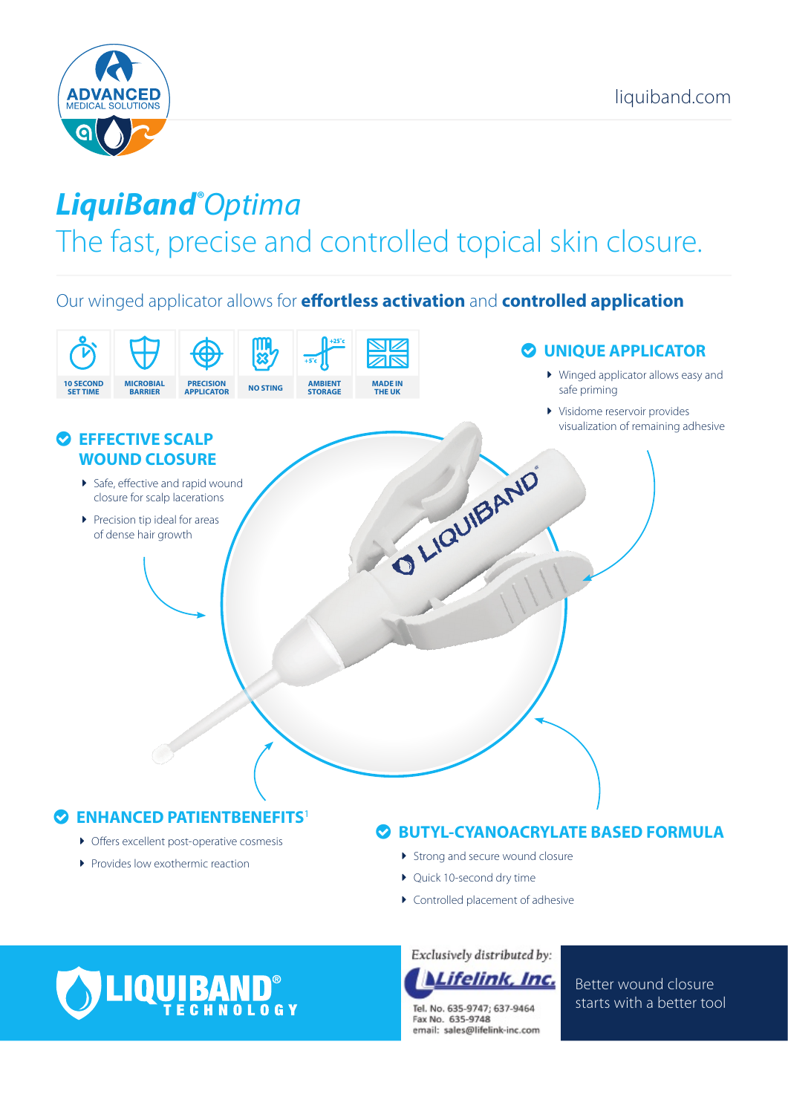

## *LiquiBand® Optima*

## The fast, precise and controlled topical skin closure.

Our winged applicator allows for **effortless activation** and **controlled application**



Provides low exothermic reaction

- **>** Strong and secure wound closure
- Ouick 10-second dry time
- $\blacktriangleright$  Controlled placement of adhesive

# **.IQUIBAND**®

Exclusively distributed by:



Tel. No. 635-9747: 637-9464 Fax No. 635-9748 email: sales@lifelink-inc.com Better wound closure starts with a better tool